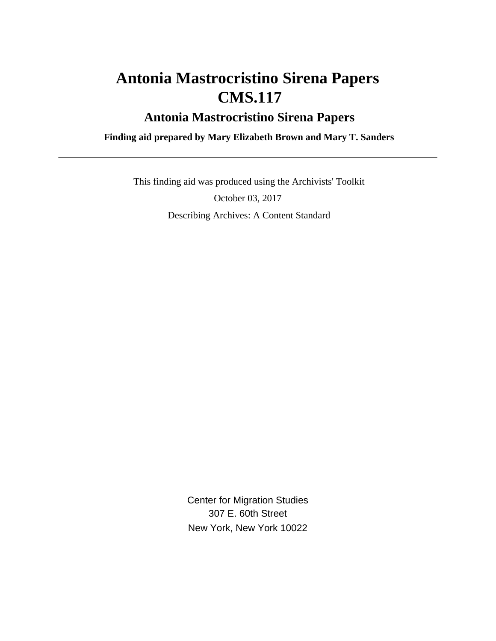# **Antonia Mastrocristino Sirena Papers CMS.117**

## **Antonia Mastrocristino Sirena Papers**

 **Finding aid prepared by Mary Elizabeth Brown and Mary T. Sanders**

 This finding aid was produced using the Archivists' Toolkit October 03, 2017 Describing Archives: A Content Standard

> Center for Migration Studies 307 E. 60th Street New York, New York 10022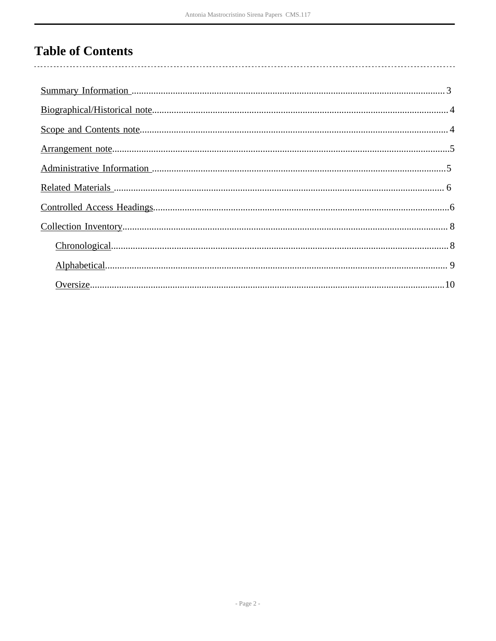# **Table of Contents**

| $Chronological8$ |
|------------------|
|                  |
|                  |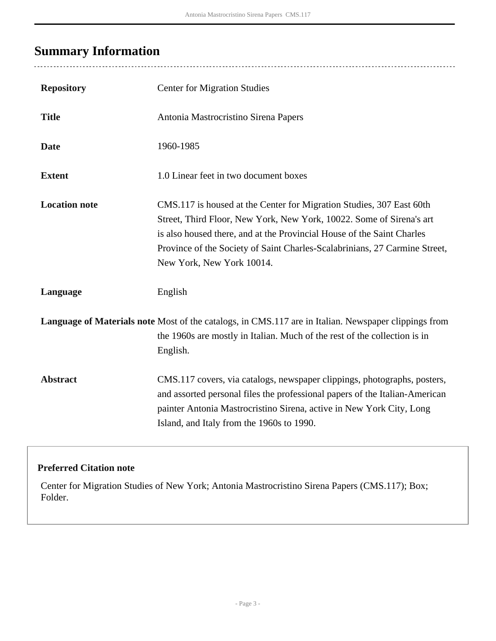# <span id="page-2-0"></span>**Summary Information**

 $\overline{a}$ 

| <b>Repository</b>    | <b>Center for Migration Studies</b>                                                                                                                                                                                                                                                                                               |
|----------------------|-----------------------------------------------------------------------------------------------------------------------------------------------------------------------------------------------------------------------------------------------------------------------------------------------------------------------------------|
| <b>Title</b>         | Antonia Mastrocristino Sirena Papers                                                                                                                                                                                                                                                                                              |
| <b>Date</b>          | 1960-1985                                                                                                                                                                                                                                                                                                                         |
| <b>Extent</b>        | 1.0 Linear feet in two document boxes                                                                                                                                                                                                                                                                                             |
| <b>Location note</b> | CMS.117 is housed at the Center for Migration Studies, 307 East 60th<br>Street, Third Floor, New York, New York, 10022. Some of Sirena's art<br>is also housed there, and at the Provincial House of the Saint Charles<br>Province of the Society of Saint Charles-Scalabrinians, 27 Carmine Street,<br>New York, New York 10014. |
| Language             | English                                                                                                                                                                                                                                                                                                                           |
|                      | Language of Materials note Most of the catalogs, in CMS.117 are in Italian. Newspaper clippings from<br>the 1960s are mostly in Italian. Much of the rest of the collection is in<br>English.                                                                                                                                     |
| <b>Abstract</b>      | CMS.117 covers, via catalogs, newspaper clippings, photographs, posters,<br>and assorted personal files the professional papers of the Italian-American<br>painter Antonia Mastrocristino Sirena, active in New York City, Long<br>Island, and Italy from the 1960s to 1990.                                                      |

#### **Preferred Citation note**

Center for Migration Studies of New York; Antonia Mastrocristino Sirena Papers (CMS.117); Box; Folder.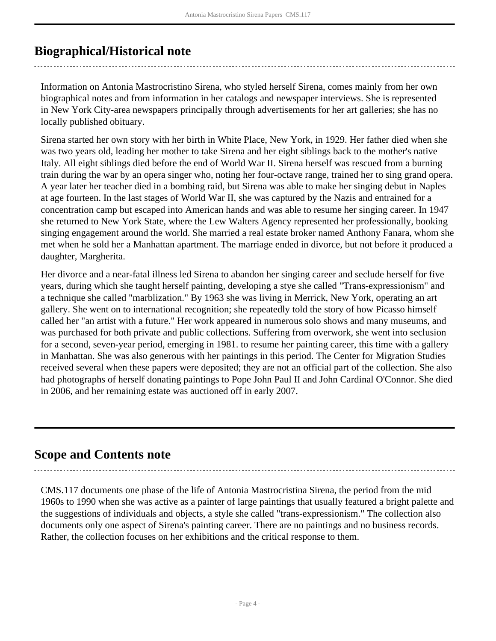## <span id="page-3-0"></span>**Biographical/Historical note**

Information on Antonia Mastrocristino Sirena, who styled herself Sirena, comes mainly from her own biographical notes and from information in her catalogs and newspaper interviews. She is represented in New York City-area newspapers principally through advertisements for her art galleries; she has no locally published obituary.

Sirena started her own story with her birth in White Place, New York, in 1929. Her father died when she was two years old, leading her mother to take Sirena and her eight siblings back to the mother's native Italy. All eight siblings died before the end of World War II. Sirena herself was rescued from a burning train during the war by an opera singer who, noting her four-octave range, trained her to sing grand opera. A year later her teacher died in a bombing raid, but Sirena was able to make her singing debut in Naples at age fourteen. In the last stages of World War II, she was captured by the Nazis and entrained for a concentration camp but escaped into American hands and was able to resume her singing career. In 1947 she returned to New York State, where the Lew Walters Agency represented her professionally, booking singing engagement around the world. She married a real estate broker named Anthony Fanara, whom she met when he sold her a Manhattan apartment. The marriage ended in divorce, but not before it produced a daughter, Margherita.

Her divorce and a near-fatal illness led Sirena to abandon her singing career and seclude herself for five years, during which she taught herself painting, developing a stye she called "Trans-expressionism" and a technique she called "marblization." By 1963 she was living in Merrick, New York, operating an art gallery. She went on to international recognition; she repeatedly told the story of how Picasso himself called her "an artist with a future." Her work appeared in numerous solo shows and many museums, and was purchased for both private and public collections. Suffering from overwork, she went into seclusion for a second, seven-year period, emerging in 1981. to resume her painting career, this time with a gallery in Manhattan. She was also generous with her paintings in this period. The Center for Migration Studies received several when these papers were deposited; they are not an official part of the collection. She also had photographs of herself donating paintings to Pope John Paul II and John Cardinal O'Connor. She died in 2006, and her remaining estate was auctioned off in early 2007.

### <span id="page-3-1"></span>**Scope and Contents note**

CMS.117 documents one phase of the life of Antonia Mastrocristina Sirena, the period from the mid 1960s to 1990 when she was active as a painter of large paintings that usually featured a bright palette and the suggestions of individuals and objects, a style she called "trans-expressionism." The collection also documents only one aspect of Sirena's painting career. There are no paintings and no business records. Rather, the collection focuses on her exhibitions and the critical response to them.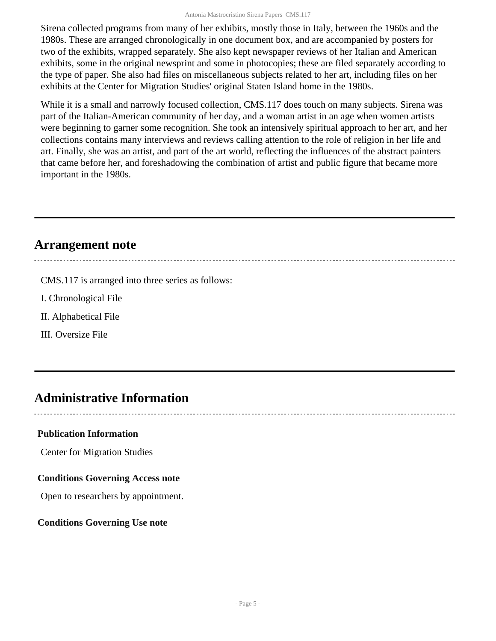Sirena collected programs from many of her exhibits, mostly those in Italy, between the 1960s and the 1980s. These are arranged chronologically in one document box, and are accompanied by posters for two of the exhibits, wrapped separately. She also kept newspaper reviews of her Italian and American exhibits, some in the original newsprint and some in photocopies; these are filed separately according to the type of paper. She also had files on miscellaneous subjects related to her art, including files on her exhibits at the Center for Migration Studies' original Staten Island home in the 1980s.

While it is a small and narrowly focused collection, CMS.117 does touch on many subjects. Sirena was part of the Italian-American community of her day, and a woman artist in an age when women artists were beginning to garner some recognition. She took an intensively spiritual approach to her art, and her collections contains many interviews and reviews calling attention to the role of religion in her life and art. Finally, she was an artist, and part of the art world, reflecting the influences of the abstract painters that came before her, and foreshadowing the combination of artist and public figure that became more important in the 1980s.

### <span id="page-4-0"></span>**Arrangement note**

CMS.117 is arranged into three series as follows:

I. Chronological File

II. Alphabetical File

III. Oversize File

## <span id="page-4-1"></span>**Administrative Information**

#### **Publication Information**

Center for Migration Studies

#### **Conditions Governing Access note**

Open to researchers by appointment.

#### **Conditions Governing Use note**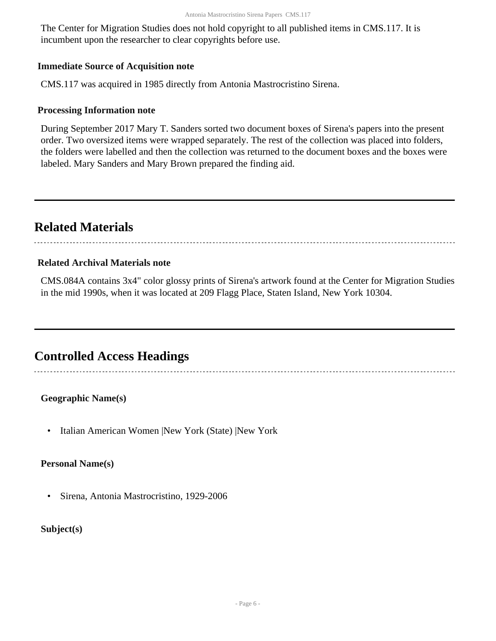The Center for Migration Studies does not hold copyright to all published items in CMS.117. It is incumbent upon the researcher to clear copyrights before use.

#### **Immediate Source of Acquisition note**

CMS.117 was acquired in 1985 directly from Antonia Mastrocristino Sirena.

#### **Processing Information note**

During September 2017 Mary T. Sanders sorted two document boxes of Sirena's papers into the present order. Two oversized items were wrapped separately. The rest of the collection was placed into folders, the folders were labelled and then the collection was returned to the document boxes and the boxes were labeled. Mary Sanders and Mary Brown prepared the finding aid.

### <span id="page-5-0"></span>**Related Materials**

#### **Related Archival Materials note**

CMS.084A contains 3x4" color glossy prints of Sirena's artwork found at the Center for Migration Studies in the mid 1990s, when it was located at 209 Flagg Place, Staten Island, New York 10304.

### <span id="page-5-1"></span>**Controlled Access Headings**

**Geographic Name(s)**

• Italian American Women |New York (State) |New York

#### **Personal Name(s)**

• Sirena, Antonia Mastrocristino, 1929-2006

**Subject(s)**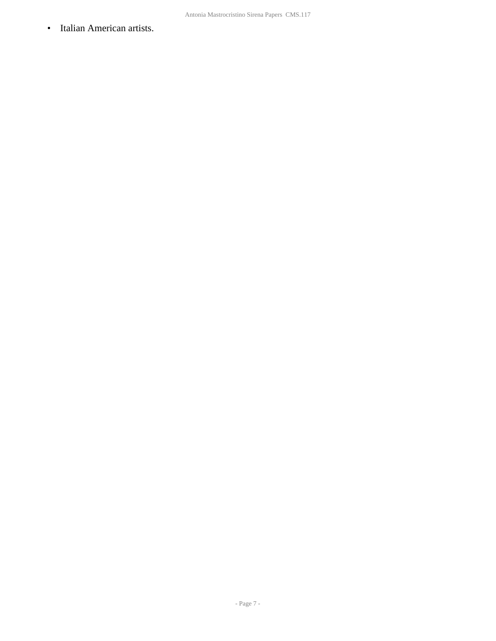• Italian American artists.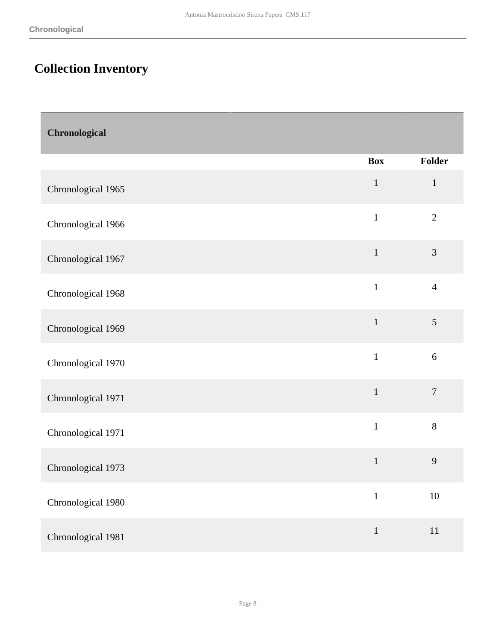# <span id="page-7-0"></span>**Collection Inventory**

<span id="page-7-1"></span>

| Chronological      |              |                |
|--------------------|--------------|----------------|
|                    | <b>Box</b>   | Folder         |
| Chronological 1965 | $\mathbf{1}$ | $\mathbf{1}$   |
| Chronological 1966 | $\mathbf{1}$ | $\overline{2}$ |
| Chronological 1967 | $\mathbf{1}$ | $\mathfrak{Z}$ |
| Chronological 1968 | $\mathbf{1}$ | $\overline{4}$ |
| Chronological 1969 | $\mathbf{1}$ | 5              |
| Chronological 1970 | $\mathbf{1}$ | $6\,$          |
| Chronological 1971 | $\mathbf{1}$ | $\overline{7}$ |
| Chronological 1971 | $\mathbf{1}$ | $8\,$          |
| Chronological 1973 | $\mathbf{1}$ | 9              |
| Chronological 1980 | $\mathbf{1}$ | $10\,$         |
| Chronological 1981 | $\mathbf{1}$ | $11\,$         |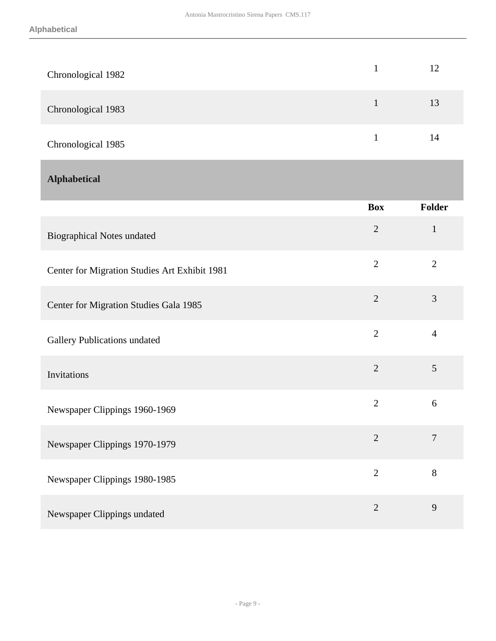<span id="page-8-0"></span>

| Chronological 1982                            | $\mathbf{1}$   | 12             |
|-----------------------------------------------|----------------|----------------|
| Chronological 1983                            | $\mathbf{1}$   | 13             |
| Chronological 1985                            | $\mathbf{1}$   | 14             |
| <b>Alphabetical</b>                           |                |                |
|                                               | <b>Box</b>     | Folder         |
| <b>Biographical Notes undated</b>             | $\overline{2}$ | $\mathbf{1}$   |
| Center for Migration Studies Art Exhibit 1981 | $\overline{2}$ | $\overline{2}$ |
| Center for Migration Studies Gala 1985        | $\overline{2}$ | 3              |
| <b>Gallery Publications undated</b>           | $\overline{2}$ | $\overline{4}$ |
| Invitations                                   | $\overline{2}$ | 5              |
| Newspaper Clippings 1960-1969                 | $\overline{2}$ | 6              |
| Newspaper Clippings 1970-1979                 | $\overline{2}$ | $\tau$         |
| Newspaper Clippings 1980-1985                 | $\overline{2}$ | 8              |
| Newspaper Clippings undated                   | $\sqrt{2}$     | $\overline{9}$ |